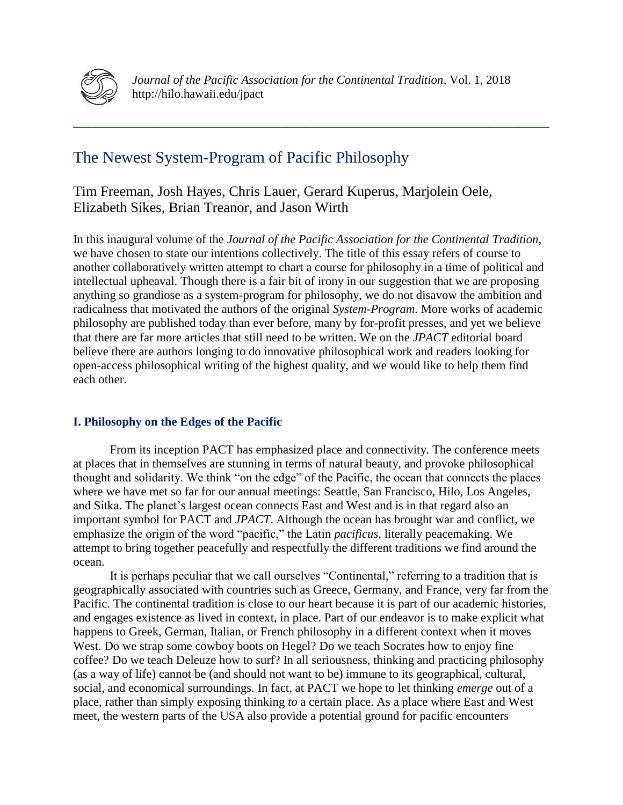

**\_\_\_\_\_\_\_\_\_\_\_\_\_\_\_\_\_\_\_\_\_\_\_\_\_\_\_\_\_\_\_\_\_\_\_\_\_\_\_\_\_\_\_\_\_\_\_\_\_\_\_\_\_\_\_\_\_\_\_\_\_\_\_\_\_\_\_\_\_\_\_\_\_\_\_\_\_\_**

# The Newest System-Program of Pacific Philosophy

Tim Freeman, Josh Hayes, Chris Lauer, Gerard Kuperus, Marjolein Oele, Elizabeth Sikes, Brian Treanor, and Jason Wirth

In this inaugural volume of the *Journal of the Pacific Association for the Continental Tradition*, we have chosen to state our intentions collectively. The title of this essay refers of course to another collaboratively written attempt to chart a course for philosophy in a time of political and intellectual upheaval. Though there is a fair bit of irony in our suggestion that we are proposing anything so grandiose as a system-program for philosophy, we do not disavow the ambition and radicalness that motivated the authors of the original *System-Program*. More works of academic philosophy are published today than ever before, many by for-profit presses, and yet we believe that there are far more articles that still need to be written. We on the *JPACT* editorial board believe there are authors longing to do innovative philosophical work and readers looking for open-access philosophical writing of the highest quality, and we would like to help them find each other.

# **I. Philosophy on the Edges of the Pacific**

From its inception PACT has emphasized place and connectivity. The conference meets at places that in themselves are stunning in terms of natural beauty, and provoke philosophical thought and solidarity. We think "on the edge" of the Pacific, the ocean that connects the places where we have met so far for our annual meetings: Seattle, San Francisco, Hilo, Los Angeles, and Sitka. The planet's largest ocean connects East and West and is in that regard also an important symbol for PACT and *JPACT*. Although the ocean has brought war and conflict, we emphasize the origin of the word "pacific," the Latin *pacificus*, literally peacemaking. We attempt to bring together peacefully and respectfully the different traditions we find around the ocean.

It is perhaps peculiar that we call ourselves "Continental," referring to a tradition that is geographically associated with countries such as Greece, Germany, and France, very far from the Pacific. The continental tradition is close to our heart because it is part of our academic histories, and engages existence as lived in context, in place. Part of our endeavor is to make explicit what happens to Greek, German, Italian, or French philosophy in a different context when it moves West. Do we strap some cowboy boots on Hegel? Do we teach Socrates how to enjoy fine coffee? Do we teach Deleuze how to surf? In all seriousness, thinking and practicing philosophy (as a way of life) cannot be (and should not want to be) immune to its geographical, cultural, social, and economical surroundings. In fact, at PACT we hope to let thinking *emerge* out of a place, rather than simply exposing thinking *to* a certain place. As a place where East and West meet, the western parts of the USA also provide a potential ground for pacific encounters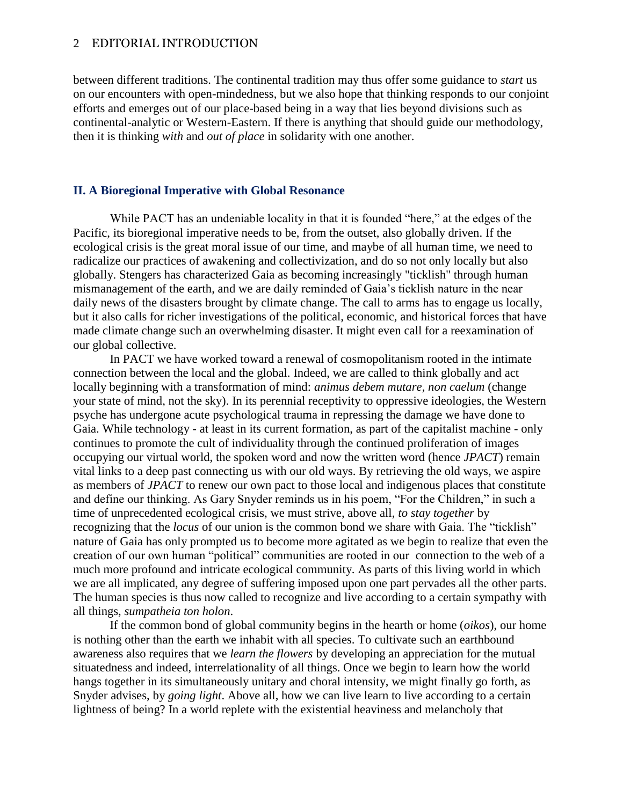## 2 EDITORIAL INTRODUCTION

between different traditions. The continental tradition may thus offer some guidance to *start* us on our encounters with open-mindedness, but we also hope that thinking responds to our conjoint efforts and emerges out of our place-based being in a way that lies beyond divisions such as continental-analytic or Western-Eastern. If there is anything that should guide our methodology, then it is thinking *with* and *out of place* in solidarity with one another.

## **II. A Bioregional Imperative with Global Resonance**

While PACT has an undeniable locality in that it is founded "here," at the edges of the Pacific, its bioregional imperative needs to be, from the outset, also globally driven. If the ecological crisis is the great moral issue of our time, and maybe of all human time, we need to radicalize our practices of awakening and collectivization, and do so not only locally but also globally. Stengers has characterized Gaia as becoming increasingly "ticklish" through human mismanagement of the earth, and we are daily reminded of Gaia's ticklish nature in the near daily news of the disasters brought by climate change. The call to arms has to engage us locally, but it also calls for richer investigations of the political, economic, and historical forces that have made climate change such an overwhelming disaster. It might even call for a reexamination of our global collective.

In PACT we have worked toward a renewal of cosmopolitanism rooted in the intimate connection between the local and the global. Indeed, we are called to think globally and act locally beginning with a transformation of mind: *animus debem mutare, non caelum* (change your state of mind, not the sky). In its perennial receptivity to oppressive ideologies, the Western psyche has undergone acute psychological trauma in repressing the damage we have done to Gaia. While technology - at least in its current formation, as part of the capitalist machine - only continues to promote the cult of individuality through the continued proliferation of images occupying our virtual world, the spoken word and now the written word (hence *JPACT*) remain vital links to a deep past connecting us with our old ways. By retrieving the old ways, we aspire as members of *JPACT* to renew our own pact to those local and indigenous places that constitute and define our thinking. As Gary Snyder reminds us in his poem, "For the Children," in such a time of unprecedented ecological crisis, we must strive, above all, *to stay together* by recognizing that the *locus* of our union is the common bond we share with Gaia. The "ticklish" nature of Gaia has only prompted us to become more agitated as we begin to realize that even the creation of our own human "political" communities are rooted in our connection to the web of a much more profound and intricate ecological community. As parts of this living world in which we are all implicated, any degree of suffering imposed upon one part pervades all the other parts. The human species is thus now called to recognize and live according to a certain sympathy with all things, *sumpatheia ton holon*.

If the common bond of global community begins in the hearth or home (*oikos*), our home is nothing other than the earth we inhabit with all species. To cultivate such an earthbound awareness also requires that we *learn the flowers* by developing an appreciation for the mutual situatedness and indeed, interrelationality of all things. Once we begin to learn how the world hangs together in its simultaneously unitary and choral intensity, we might finally go forth, as Snyder advises, by *going light*. Above all, how we can live learn to live according to a certain lightness of being? In a world replete with the existential heaviness and melancholy that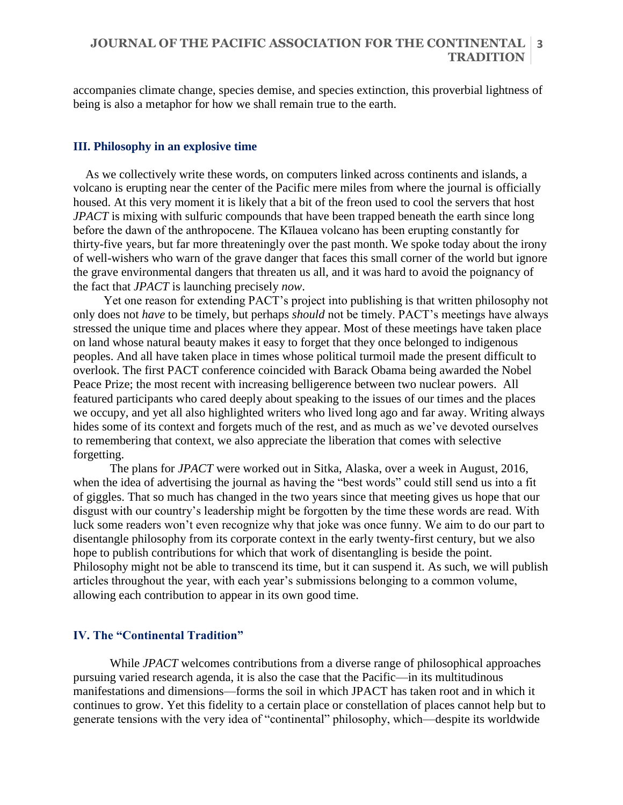# **JOURNAL OF THE PACIFIC ASSOCIATION FOR THE CONTINENTAL 3 TRADITION**

accompanies climate change, species demise, and species extinction, this proverbial lightness of being is also a metaphor for how we shall remain true to the earth.

#### **III. Philosophy in an explosive time**

As we collectively write these words, on computers linked across continents and islands, a volcano is erupting near the center of the Pacific mere miles from where the journal is officially housed. At this very moment it is likely that a bit of the freon used to cool the servers that host *JPACT* is mixing with sulfuric compounds that have been trapped beneath the earth since long before the dawn of the anthropocene. The Kīlauea volcano has been erupting constantly for thirty-five years, but far more threateningly over the past month. We spoke today about the irony of well-wishers who warn of the grave danger that faces this small corner of the world but ignore the grave environmental dangers that threaten us all, and it was hard to avoid the poignancy of the fact that *JPACT* is launching precisely *now*.

Yet one reason for extending PACT's project into publishing is that written philosophy not only does not *have* to be timely, but perhaps *should* not be timely. PACT's meetings have always stressed the unique time and places where they appear. Most of these meetings have taken place on land whose natural beauty makes it easy to forget that they once belonged to indigenous peoples. And all have taken place in times whose political turmoil made the present difficult to overlook. The first PACT conference coincided with Barack Obama being awarded the Nobel Peace Prize; the most recent with increasing belligerence between two nuclear powers. All featured participants who cared deeply about speaking to the issues of our times and the places we occupy, and yet all also highlighted writers who lived long ago and far away. Writing always hides some of its context and forgets much of the rest, and as much as we've devoted ourselves to remembering that context, we also appreciate the liberation that comes with selective forgetting.

The plans for *JPACT* were worked out in Sitka, Alaska, over a week in August, 2016, when the idea of advertising the journal as having the "best words" could still send us into a fit of giggles. That so much has changed in the two years since that meeting gives us hope that our disgust with our country's leadership might be forgotten by the time these words are read. With luck some readers won't even recognize why that joke was once funny. We aim to do our part to disentangle philosophy from its corporate context in the early twenty-first century, but we also hope to publish contributions for which that work of disentangling is beside the point. Philosophy might not be able to transcend its time, but it can suspend it. As such, we will publish articles throughout the year, with each year's submissions belonging to a common volume, allowing each contribution to appear in its own good time.

#### **IV. The "Continental Tradition"**

While *JPACT* welcomes contributions from a diverse range of philosophical approaches pursuing varied research agenda, it is also the case that the Pacific—in its multitudinous manifestations and dimensions—forms the soil in which JPACT has taken root and in which it continues to grow. Yet this fidelity to a certain place or constellation of places cannot help but to generate tensions with the very idea of "continental" philosophy, which—despite its worldwide